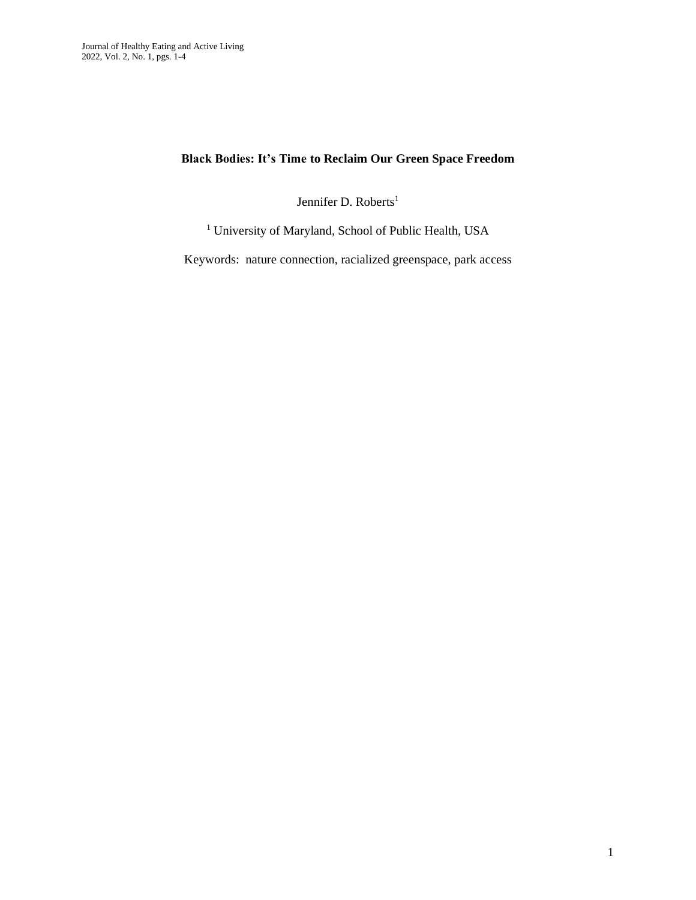## **Black Bodies: It's Time to Reclaim Our Green Space Freedom**

Jennifer D. Roberts<sup>1</sup>

<sup>1</sup> University of Maryland, School of Public Health, USA

Keywords: nature connection, racialized greenspace, park access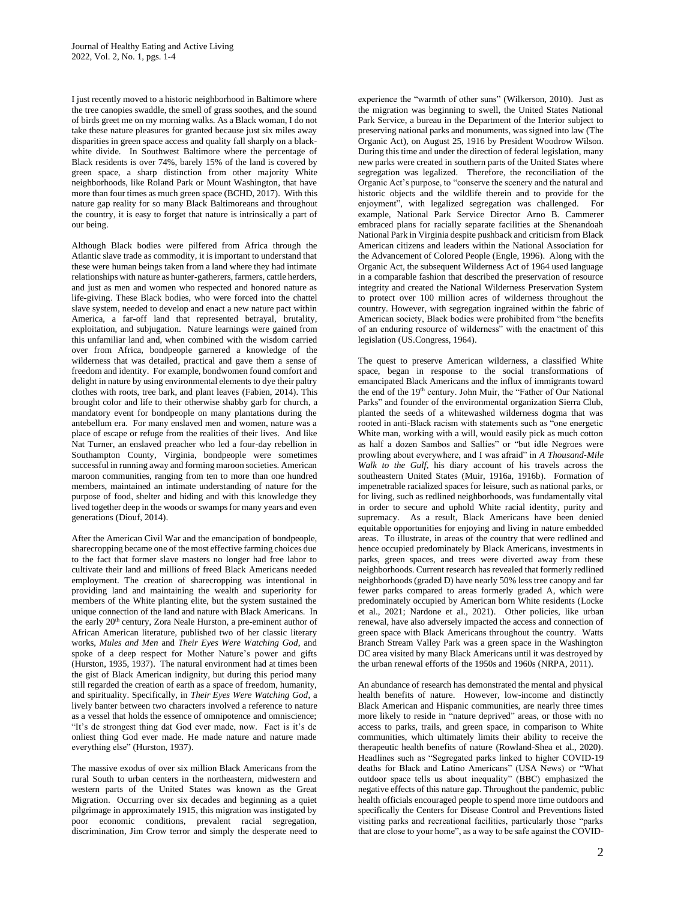I just recently moved to a historic neighborhood in Baltimore where the tree canopies swaddle, the smell of grass soothes, and the sound of birds greet me on my morning walks. As a Black woman, I do not take these nature pleasures for granted because just six miles away disparities in green space access and quality fall sharply on a blackwhite divide. In Southwest Baltimore where the percentage of Black residents is over 74%, barely 15% of the land is covered by green space, a sharp distinction from other majority White neighborhoods, like Roland Park or Mount Washington, that have more than four times as much green space (BCHD, 2017). With this nature gap reality for so many Black Baltimoreans and throughout the country, it is easy to forget that nature is intrinsically a part of our being.

Although Black bodies were pilfered from Africa through the Atlantic slave trade as commodity, it is important to understand that these were human beings taken from a land where they had intimate relationships with nature as hunter-gatherers, farmers, cattle herders, and just as men and women who respected and honored nature as life-giving. These Black bodies, who were forced into the chattel slave system, needed to develop and enact a new nature pact within America, a far-off land that represented betrayal, brutality, exploitation, and subjugation. Nature learnings were gained from this unfamiliar land and, when combined with the wisdom carried over from Africa, bondpeople garnered a knowledge of the wilderness that was detailed, practical and gave them a sense of freedom and identity. For example, bondwomen found comfort and delight in nature by using environmental elements to dye their paltry clothes with roots, tree bark, and plant leaves (Fabien, 2014). This brought color and life to their otherwise shabby garb for church, a mandatory event for bondpeople on many plantations during the antebellum era. For many enslaved men and women, nature was a place of escape or refuge from the realities of their lives. And like Nat Turner, an enslaved preacher who led a four-day rebellion in Southampton County, Virginia, bondpeople were sometimes successful in running away and forming maroon societies. American maroon communities, ranging from ten to more than one hundred members, maintained an intimate understanding of nature for the purpose of food, shelter and hiding and with this knowledge they lived together deep in the woods or swamps for many years and even generations (Diouf, 2014).

After the American Civil War and the emancipation of bondpeople, sharecropping became one of the most effective farming choices due to the fact that former slave masters no longer had free labor to cultivate their land and millions of freed Black Americans needed employment. The creation of sharecropping was intentional in providing land and maintaining the wealth and superiority for members of the White planting elite, but the system sustained the unique connection of the land and nature with Black Americans. In the early 20<sup>th</sup> century, Zora Neale Hurston, a pre-eminent author of African American literature, published two of her classic literary works, *Mules and Men* and *Their Eyes Were Watching God*, and spoke of a deep respect for Mother Nature's power and gifts (Hurston, 1935, 1937). The natural environment had at times been the gist of Black American indignity, but during this period many still regarded the creation of earth as a space of freedom, humanity, and spirituality. Specifically, in *Their Eyes Were Watching God*, a lively banter between two characters involved a reference to nature as a vessel that holds the essence of omnipotence and omniscience; "It's de strongest thing dat God ever made, now. Fact is it's de onliest thing God ever made. He made nature and nature made everything else" (Hurston, 1937).

The massive exodus of over six million Black Americans from the rural South to urban centers in the northeastern, midwestern and western parts of the United States was known as the Great Migration. Occurring over six decades and beginning as a quiet pilgrimage in approximately 1915, this migration was instigated by poor economic conditions, prevalent racial segregation, discrimination, Jim Crow terror and simply the desperate need to

experience the "warmth of other suns" (Wilkerson, 2010). Just as the migration was beginning to swell, the United States National Park Service, a bureau in the Department of the Interior subject to preserving national parks and monuments, was signed into law (The Organic Act), on August 25, 1916 by President Woodrow Wilson. During this time and under the direction of federal legislation, many new parks were created in southern parts of the United States where segregation was legalized. Therefore, the reconciliation of the Organic Act's purpose, to "conserve the scenery and the natural and historic objects and the wildlife therein and to provide for the enjoyment", with legalized segregation was challenged. For example, National Park Service Director Arno B. Cammerer embraced plans for racially separate facilities at the Shenandoah National Park in Virginia despite pushback and criticism from Black American citizens and leaders within the National Association for the Advancement of Colored People (Engle, 1996). Along with the Organic Act, the subsequent Wilderness Act of 1964 used language in a comparable fashion that described the preservation of resource integrity and created the National Wilderness Preservation System to protect over 100 million acres of wilderness throughout the country. However, with segregation ingrained within the fabric of American society, Black bodies were prohibited from "the benefits of an enduring resource of wilderness" with the enactment of this legislation (US.Congress, 1964).

The quest to preserve American wilderness, a classified White space, began in response to the social transformations of emancipated Black Americans and the influx of immigrants toward the end of the 19<sup>th</sup> century. John Muir, the "Father of Our National Parks" and founder of the environmental organization Sierra Club, planted the seeds of a whitewashed wilderness dogma that was rooted in anti-Black racism with statements such as "one energetic White man, working with a will, would easily pick as much cotton as half a dozen Sambos and Sallies" or "but idle Negroes were prowling about everywhere, and I was afraid" in *A Thousand-Mile Walk to the Gulf*, his diary account of his travels across the southeastern United States (Muir, 1916a, 1916b). Formation of impenetrable racialized spaces for leisure, such as national parks, or for living, such as redlined neighborhoods, was fundamentally vital in order to secure and uphold White racial identity, purity and supremacy. As a result, Black Americans have been denied equitable opportunities for enjoying and living in nature embedded areas. To illustrate, in areas of the country that were redlined and hence occupied predominately by Black Americans, investments in parks, green spaces, and trees were diverted away from these neighborhoods. Current research has revealed that formerly redlined neighborhoods (graded D) have nearly 50% less tree canopy and far fewer parks compared to areas formerly graded A, which were predominately occupied by American born White residents (Locke et al., 2021; Nardone et al., 2021). Other policies, like urban renewal, have also adversely impacted the access and connection of green space with Black Americans throughout the country. Watts Branch Stream Valley Park was a green space in the Washington DC area visited by many Black Americans until it was destroyed by the urban renewal efforts of the 1950s and 1960s (NRPA, 2011).

An abundance of research has demonstrated the mental and physical health benefits of nature. However, low-income and distinctly Black American and Hispanic communities, are nearly three times more likely to reside in "nature deprived" areas, or those with no access to parks, trails, and green space, in comparison to White communities, which ultimately limits their ability to receive the therapeutic health benefits of nature (Rowland-Shea et al., 2020). Headlines such as "Segregated parks linked to higher COVID-19 deaths for Black and Latino Americans" (USA News) or "What outdoor space tells us about inequality" (BBC) emphasized the negative effects of this nature gap. Throughout the pandemic, public health officials encouraged people to spend more time outdoors and specifically the Centers for Disease Control and Preventions listed visiting parks and recreational facilities, particularly those "parks that are close to your home", as a way to be safe against the COVID-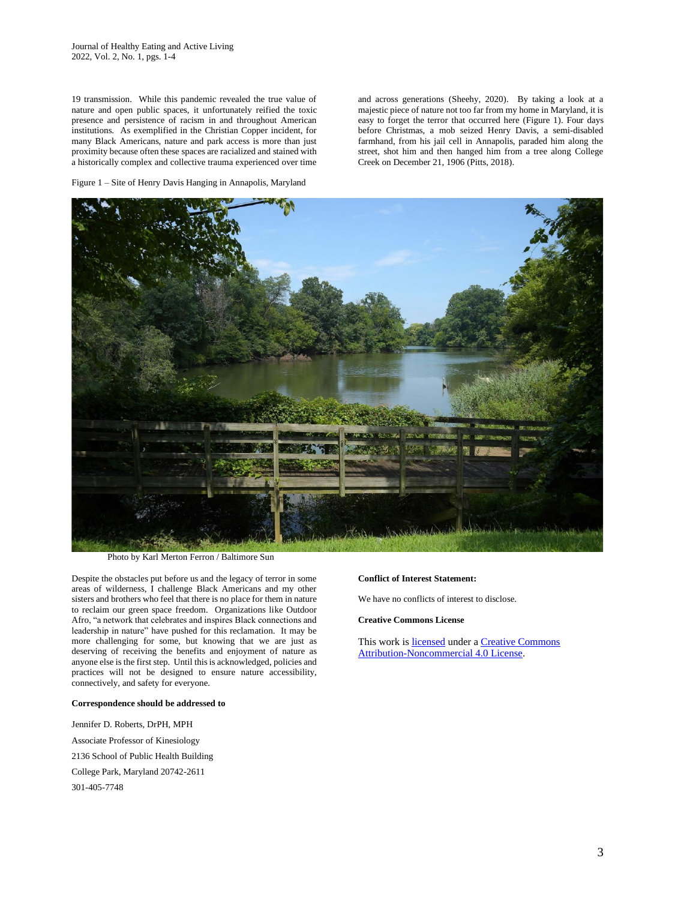19 transmission. While this pandemic revealed the true value of nature and open public spaces, it unfortunately reified the toxic presence and persistence of racism in and throughout American institutions. As exemplified in the Christian Copper incident, for many Black Americans, nature and park access is more than just proximity because often these spaces are racialized and stained with a historically complex and collective trauma experienced over time

and across generations (Sheehy, 2020). By taking a look at a majestic piece of nature not too far from my home in Maryland, it is easy to forget the terror that occurred here (Figure 1). Four days before Christmas, a mob seized Henry Davis, a semi-disabled farmhand, from his jail cell in Annapolis, paraded him along the street, shot him and then hanged him from a tree along College Creek on December 21, 1906 (Pitts, 2018).

Figure 1 – Site of Henry Davis Hanging in Annapolis, Maryland



Photo by Karl Merton Ferron / Baltimore Sun

Despite the obstacles put before us and the legacy of terror in some areas of wilderness, I challenge Black Americans and my other sisters and brothers who feel that there is no place for them in nature to reclaim our green space freedom. Organizations like Outdoor Afro, "a network that celebrates and inspires Black connections and leadership in nature" have pushed for this reclamation. It may be more challenging for some, but knowing that we are just as deserving of receiving the benefits and enjoyment of nature as anyone else is the first step. Until this is acknowledged, policies and practices will not be designed to ensure nature accessibility, connectively, and safety for everyone.

## **Correspondence should be addressed to**

Jennifer D. Roberts, DrPH, MPH Associate Professor of Kinesiology 2136 School of Public Health Building College Park, Maryland 20742-2611 301-405-7748

## **Conflict of Interest Statement:**

We have no conflicts of interest to disclose.

**Creative Commons License**

This work i[s licensed](https://creativecommons.org/licenses/by-nc-nd/4.0/legalcode) under a [Creative Commons](https://creativecommons.org/licenses/by-nc/4.0/)  [Attribution-Noncommercial 4.0 License.](https://creativecommons.org/licenses/by-nc/4.0/)